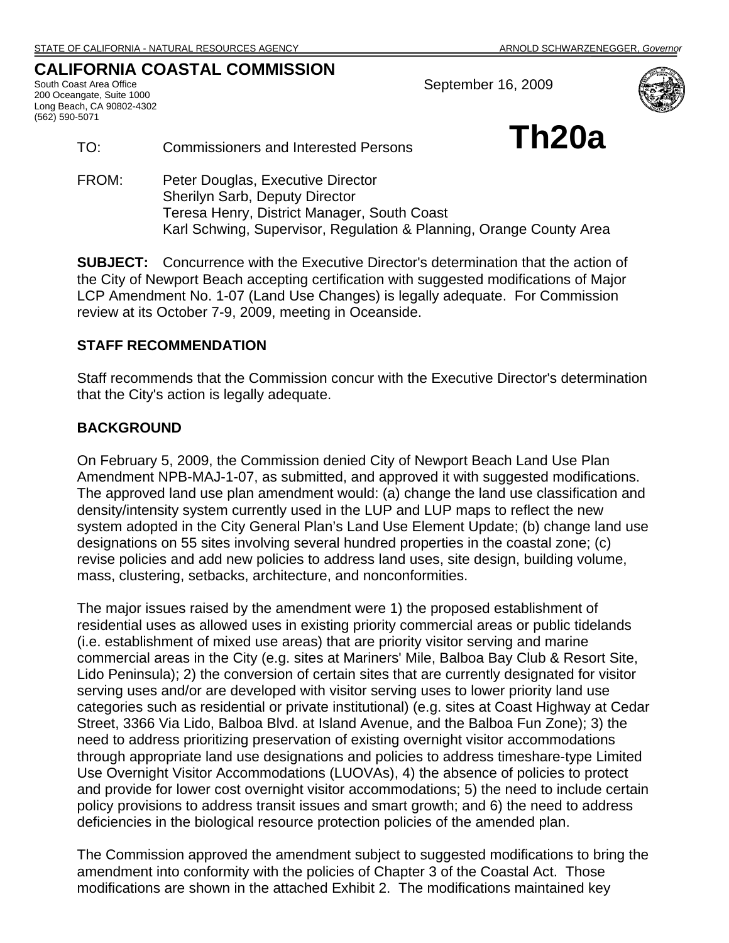## **CALIFORNIA COASTAL COMMISSION**

South Coast Area Office 200 Oceangate, Suite 1000 Long Beach, CA 90802-4302 (562) 590-5071

September 16, 2009



TO: Commissioners and Interested Persons **Th20a** 

FROM: Peter Douglas, Executive Director Sherilyn Sarb, Deputy Director Teresa Henry, District Manager, South Coast Karl Schwing, Supervisor, Regulation & Planning, Orange County Area

**SUBJECT:** Concurrence with the Executive Director's determination that the action of the City of Newport Beach accepting certification with suggested modifications of Major LCP Amendment No. 1-07 (Land Use Changes) is legally adequate. For Commission review at its October 7-9, 2009, meeting in Oceanside.

## **STAFF RECOMMENDATION**

Staff recommends that the Commission concur with the Executive Director's determination that the City's action is legally adequate.

## **BACKGROUND**

On February 5, 2009, the Commission denied City of Newport Beach Land Use Plan Amendment NPB-MAJ-1-07, as submitted, and approved it with suggested modifications. The approved land use plan amendment would: (a) change the land use classification and density/intensity system currently used in the LUP and LUP maps to reflect the new system adopted in the City General Plan's Land Use Element Update; (b) change land use designations on 55 sites involving several hundred properties in the coastal zone; (c) revise policies and add new policies to address land uses, site design, building volume, mass, clustering, setbacks, architecture, and nonconformities.

The major issues raised by the amendment were 1) the proposed establishment of residential uses as allowed uses in existing priority commercial areas or public tidelands (i.e. establishment of mixed use areas) that are priority visitor serving and marine commercial areas in the City (e.g. sites at Mariners' Mile, Balboa Bay Club & Resort Site, Lido Peninsula); 2) the conversion of certain sites that are currently designated for visitor serving uses and/or are developed with visitor serving uses to lower priority land use categories such as residential or private institutional) (e.g. sites at Coast Highway at Cedar Street, 3366 Via Lido, Balboa Blvd. at Island Avenue, and the Balboa Fun Zone); 3) the need to address prioritizing preservation of existing overnight visitor accommodations through appropriate land use designations and policies to address timeshare-type Limited Use Overnight Visitor Accommodations (LUOVAs), 4) the absence of policies to protect and provide for lower cost overnight visitor accommodations; 5) the need to include certain policy provisions to address transit issues and smart growth; and 6) the need to address deficiencies in the biological resource protection policies of the amended plan.

The Commission approved the amendment subject to suggested modifications to bring the amendment into conformity with the policies of Chapter 3 of the Coastal Act. Those modifications are shown in the attached Exhibit 2. The modifications maintained key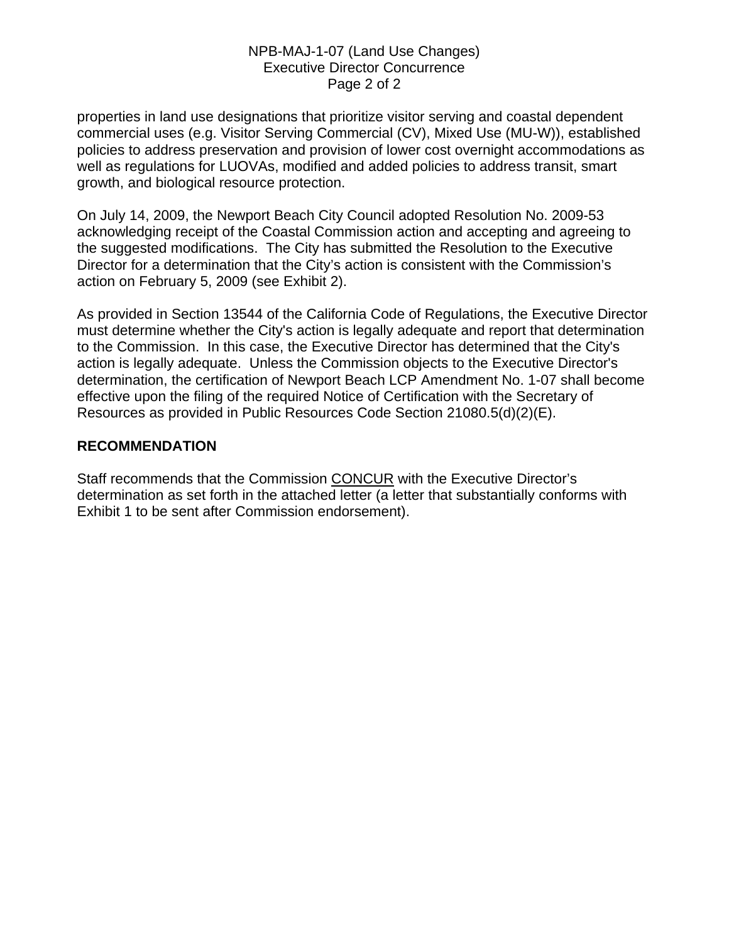### NPB-MAJ-1-07 (Land Use Changes) Executive Director Concurrence Page 2 of 2

properties in land use designations that prioritize visitor serving and coastal dependent commercial uses (e.g. Visitor Serving Commercial (CV), Mixed Use (MU-W)), established policies to address preservation and provision of lower cost overnight accommodations as well as regulations for LUOVAs, modified and added policies to address transit, smart growth, and biological resource protection.

On July 14, 2009, the Newport Beach City Council adopted Resolution No. 2009-53 acknowledging receipt of the Coastal Commission action and accepting and agreeing to the suggested modifications. The City has submitted the Resolution to the Executive Director for a determination that the City's action is consistent with the Commission's action on February 5, 2009 (see Exhibit 2).

As provided in Section 13544 of the California Code of Regulations, the Executive Director must determine whether the City's action is legally adequate and report that determination to the Commission. In this case, the Executive Director has determined that the City's action is legally adequate. Unless the Commission objects to the Executive Director's determination, the certification of Newport Beach LCP Amendment No. 1-07 shall become effective upon the filing of the required Notice of Certification with the Secretary of Resources as provided in Public Resources Code Section 21080.5(d)(2)(E).

## **RECOMMENDATION**

Staff recommends that the Commission CONCUR with the Executive Director's determination as set forth in the attached letter (a letter that substantially conforms with Exhibit 1 to be sent after Commission endorsement).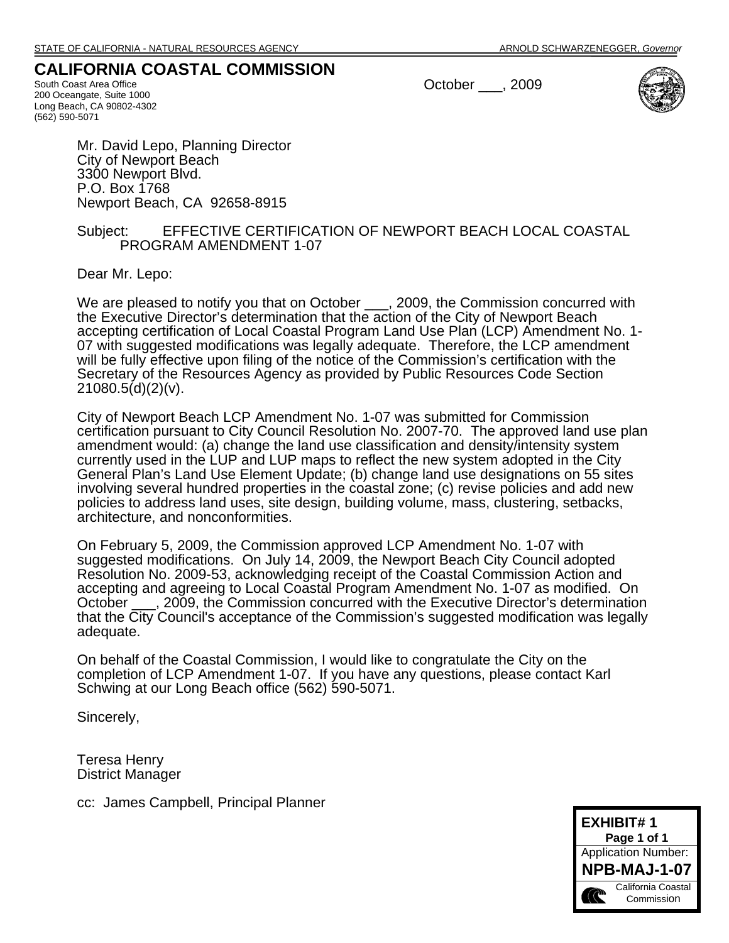## **CALIFORNIA COASTAL COMMISSION**

South Coast Area Office 200 Oceangate, Suite 1000 Long Beach, CA 90802-4302 (562) 590-5071

October \_\_\_, 2009



Mr. David Lepo, Planning Director City of Newport Beach 3300 Newport Blvd. P.O. Box 1768 Newport Beach, CA 92658-8915

#### Subject: EFFECTIVE CERTIFICATION OF NEWPORT BEACH LOCAL COASTAL PROGRAM AMENDMENT 1-07

Dear Mr. Lepo:

We are pleased to notify you that on October \_\_\_, 2009, the Commission concurred with the Executive Director's determination that the action of the City of Newport Beach accepting certification of Local Coastal Program Land Use Plan (LCP) Amendment No. 1- 07 with suggested modifications was legally adequate. Therefore, the LCP amendment will be fully effective upon filing of the notice of the Commission's certification with the Secretary of the Resources Agency as provided by Public Resources Code Section  $21080.5(d)(2)(v)$ .

City of Newport Beach LCP Amendment No. 1-07 was submitted for Commission certification pursuant to City Council Resolution No. 2007-70. The approved land use plan amendment would: (a) change the land use classification and density/intensity system currently used in the LUP and LUP maps to reflect the new system adopted in the City General Plan's Land Use Element Update; (b) change land use designations on 55 sites involving several hundred properties in the coastal zone; (c) revise policies and add new policies to address land uses, site design, building volume, mass, clustering, setbacks, architecture, and nonconformities.

On February 5, 2009, the Commission approved LCP Amendment No. 1-07 with suggested modifications. On July 14, 2009, the Newport Beach City Council adopted Resolution No. 2009-53, acknowledging receipt of the Coastal Commission Action and accepting and agreeing to Local Coastal Program Amendment No. 1-07 as modified. On October  $\sim$ , 2009, the Commission concurred with the Executive Director's determination that the City Council's acceptance of the Commission's suggested modification was legally adequate.

On behalf of the Coastal Commission, I would like to congratulate the City on the completion of LCP Amendment 1-07. If you have any questions, please contact Karl Schwing at our Long Beach office (562) 590-5071.

Sincerely,

Teresa Henry District Manager

cc: James Campbell, Principal Planner

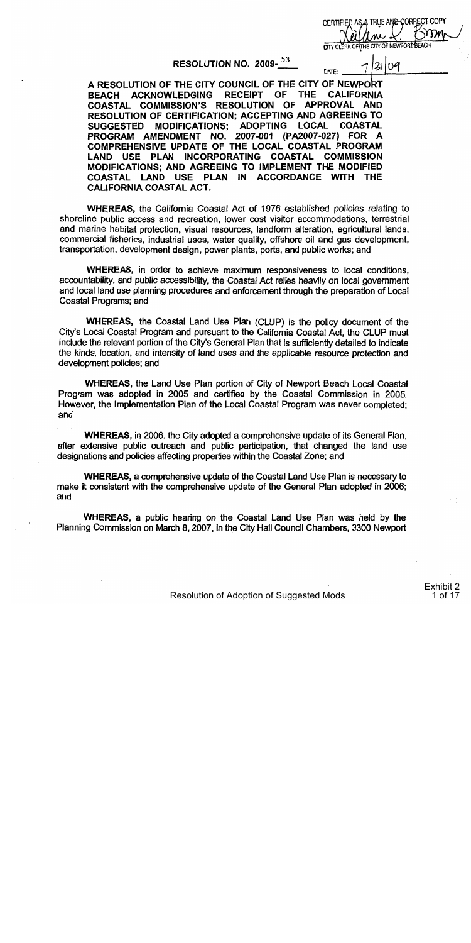CERTIFIED AS A TRUE AND CORRECT COPY THE CITY OF NEWPORT BEACH CITY CLERK OF

 $\overline{z}$ log

**DATE:** 

RESOLUTION NO. 2009-<sup>53</sup>

A RESOLUTION OF THE CITY COUNCIL OF THE CITY OF NEWPORT **ACKNOWLEDGING RECEIPT** OF **THE CALIFORNIA BEACH** APPROVAL AND COASTAL COMMISSION'S RESOLUTION OF . RESOLUTION OF CERTIFICATION; ACCEPTING AND AGREEING TO **LOCAL COASTAL SUGGESTED MODIFICATIONS: ADOPTING** PROGRAM AMENDMENT NO. 2007-001 (PA2007-027) FOR A COMPREHENSIVE UPDATE OF THE LOCAL COASTAL PROGRAM LAND USE PLAN INCORPORATING COASTAL **COMMISSION MODIFICATIONS: AND AGREEING TO IMPLEMENT THE MODIFIED** COASTAL LAND USE PLAN IN ACCORDANCE WITH THE **CALIFORNIA COASTAL ACT.** 

**WHEREAS, the California Coastal Act of 1976 established policies relating to** shoreline public access and recreation, lower cost visitor accommodations, terrestrial and marine habitat protection, visual resources, landform alteration, agricultural lands, commercial fisheries, industrial uses, water quality, offshore oil and gas development, transportation, development design, power plants, ports, and public works; and

WHEREAS, in order to achieve maximum responsiveness to local conditions, accountability, and public accessibility, the Coastal Act relies heavily on local government and local land use planning procedures and enforcement through the preparation of Local Coastal Programs; and

WHEREAS, the Coastal Land Use Plan (CLUP) is the policy document of the City's Local Coastal Program and pursuant to the California Coastal Act, the CLUP must include the relevant portion of the City's General Plan that is sufficiently detailed to indicate the kinds, location, and intensity of land uses and the applicable resource protection and development policies; and

**WHEREAS, the Land Use Plan portion of City of Newport Beach Local Coastal** Program was adopted in 2005 and certified by the Coastal Commission in 2005. However, the Implementation Plan of the Local Coastal Program was never completed; and

WHEREAS, in 2006, the City adopted a comprehensive update of its General Plan, after extensive public outreach and public participation, that changed the land use designations and policies affecting properties within the Coastal Zone; and

WHEREAS, a comprehensive update of the Coastal Land Use Plan is necessary to make it consistent with the comprehensive update of the General Plan adopted in 2006; and

WHEREAS, a public hearing on the Coastal Land Use Plan was held by the Planning Commission on March 8, 2007, in the City Hall Council Chambers, 3300 Newport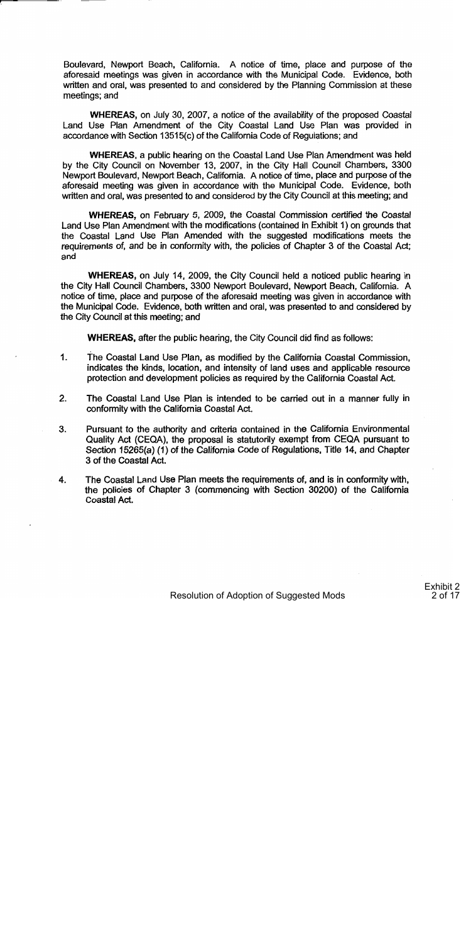Boulevard, Newport Beach, California. A notice of time, place and purpose of the aforesaid meetings was given in accordance with the Municipal Code. Evidence, both written and oral, was presented to and considered by the Planning Commission at these meetings; and

WHEREAS, on July 30, 2007, a notice of the availability of the proposed Coastal Land Use Plan Amendment of the City Coastal Land Use Plan was provided in accordance with Section 13515(c) of the California Code of Regulations; and

**WHEREAS, a public hearing on the Coastal Land Use Plan Amendment was held** by the City Council on November 13, 2007, in the City Hall Council Chambers, 3300 Newport Boulevard, Newport Beach, California. A notice of time, place and purpose of the aforesaid meeting was given in accordance with the Municipal Code. Evidence, both written and oral, was presented to and considered by the City Council at this meeting; and

WHEREAS, on February 5, 2009, the Coastal Commission certified the Coastal Land Use Plan Amendment with the modifications (contained in Exhibit 1) on grounds that the Coastal Land Use Plan Amended with the suggested modifications meets the requirements of, and be in conformity with, the policies of Chapter 3 of the Coastal Act; and

WHEREAS, on July 14, 2009, the City Council held a noticed public hearing in the City Hall Council Chambers, 3300 Newport Boulevard, Newport Beach, California. A notice of time, place and purpose of the aforesaid meeting was given in accordance with the Municipal Code. Evidence, both written and oral, was presented to and considered by the City Council at this meeting; and

**WHEREAS, after the public hearing, the City Council did find as follows:** 

- $1.$ The Coastal Land Use Plan, as modified by the California Coastal Commission, indicates the kinds, location, and intensity of land uses and applicable resource protection and development policies as required by the California Coastal Act.
- $2.$ The Coastal Land Use Plan is intended to be carried out in a manner fully in conformity with the California Coastal Act.
- 3. Pursuant to the authority and criteria contained in the California Environmental Quality Act (CEQA), the proposal is statutorily exempt from CEQA pursuant to Section 15265(a) (1) of the California Code of Regulations, Title 14, and Chapter 3 of the Coastal Act.
- 4. The Coastal Land Use Plan meets the requirements of, and is in conformity with. the policies of Chapter 3 (commencing with Section 30200) of the California Coastal Act.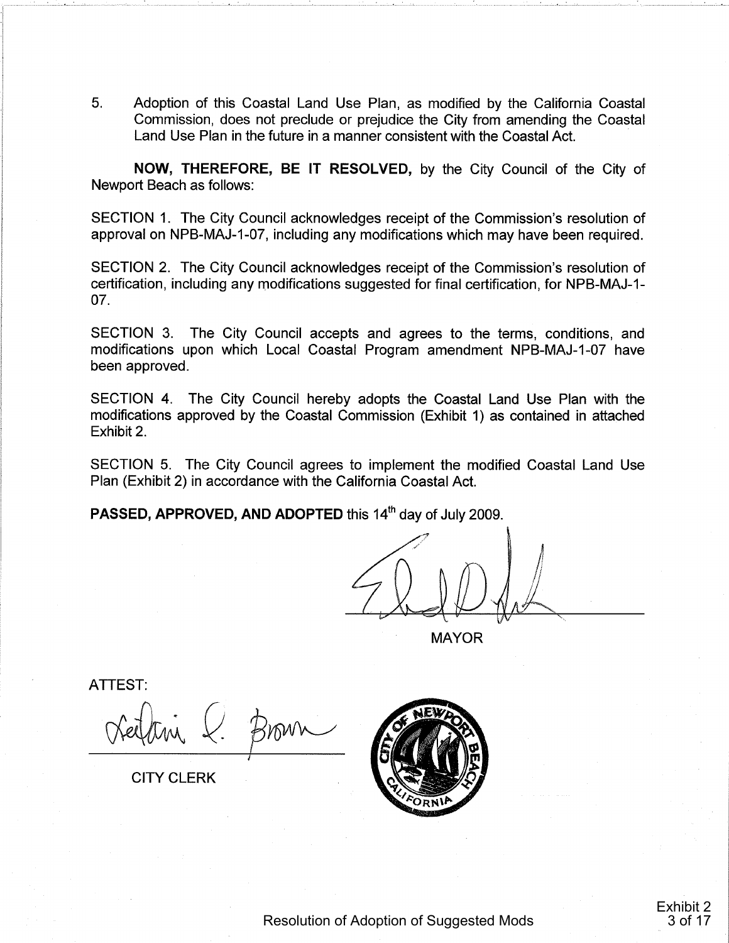5. Adoption of this Coastal Land Use Plan, as modified by the California Coastal Commission, does not preclude or prejudice the City from amending the Coastal Land Use Plan in the future in a manner consistent with the Coastal Act.

NOW, THEREFORE, BE IT RESOLVED, by the City Council of the City of Newport Beach as follows:

SECTION 1. The City Council acknowledges receipt of the Commission's resolution of approval on NPB-MAJ-1-07, including any modifications which may have been required.

SECTION 2. The City Council acknowledges receipt of the Commission's resolution of certification, including any modifications suggested for final certification, for NPB-MAJ-1- $07<sub>1</sub>$ 

SECTION 3. The City Council accepts and agrees to the terms, conditions, and modifications upon which Local Coastal Program amendment NPB-MAJ-1-07 have been approved.

SECTION 4. The City Council hereby adopts the Coastal Land Use Plan with the modifications approved by the Coastal Commission (Exhibit 1) as contained in attached Exhibit 2.

SECTION 5. The City Council agrees to implement the modified Coastal Land Use Plan (Exhibit 2) in accordance with the California Coastal Act.

PASSED, APPROVED, AND ADOPTED this 14<sup>th</sup> day of July 2009.

**MAYOR** 

**ATTEST:** 

Brown

**CITY CLERK** 

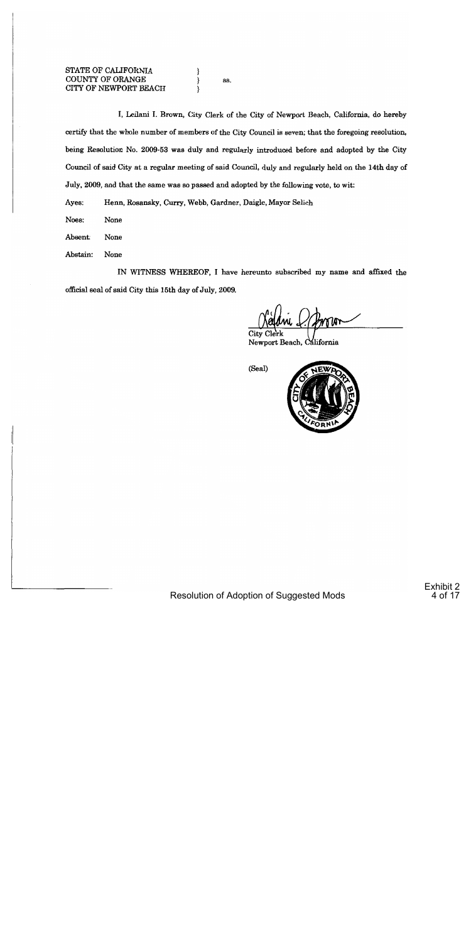88.

I, Leilani I. Brown, City Clerk of the City of Newport Beach, California, do hereby certify that the whole number of members of the City Council is seven; that the foregoing resolution, being Resolution No. 2009-53 was duly and regularly introduced before and adopted by the City Council of said City at a regular meeting of said Council, duly and regularly held on the 14th day of July, 2009, and that the same was so passed and adopted by the following vote, to wit:

Ayes: Henn, Rosansky, Curry, Webb, Gardner, Daigle, Mayor Selich

Noes: None

Absent: None

Abstain: None

IN WITNESS WHEREOF, I have hereunto subscribed my name and affixed the official seal of said City this 15th day of July, 2009.

City Clei Newport Beach, California

(Seal)

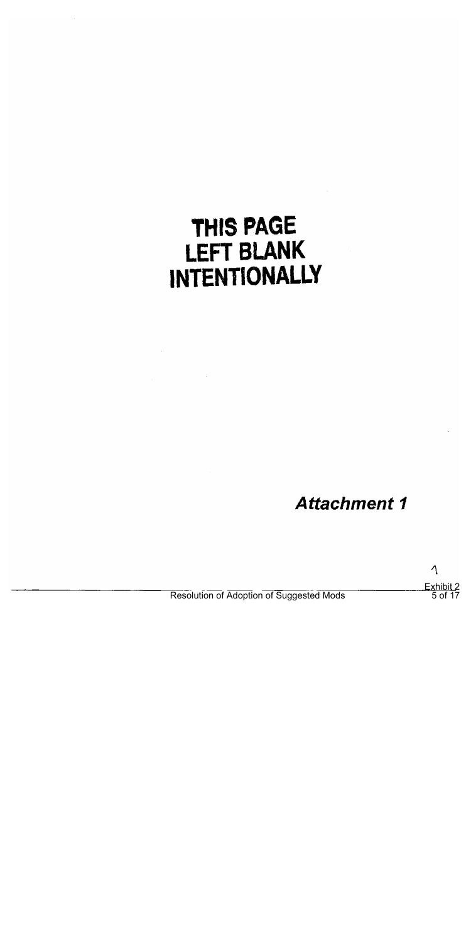# THIS PAGE **LEFT BLANK INTENTIONALLY**

**Attachment 1** 

 $\Lambda$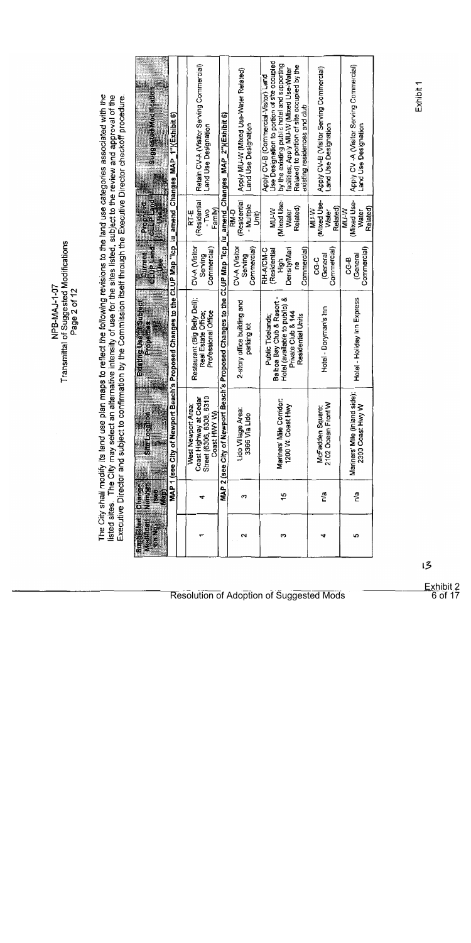Transmittal of Suggested Modifications NPB-MAJ-1-07

The City shall modify its land use plan maps to reflect the following revisions to the land use categories associated with the<br>listed sites. The City may select an alternative intensity of use for the sites listed, subject

| Sundsteht Article and                          |                                                                                                              | Retain CV-A (Visitor Serving Commercial)<br>Land Use Designation                         |                                                                                                              | Apply MU-W (Mixed Use-Water Related)<br>Land Use Designation | Use Designation to portion of site occupied<br>by the existing public hotel and supporting<br>Related) to portion of site occupied by the<br>facilities; Apply MU-W (Mixed Use-Water<br>Apply CV-B (Commercial-Visitor) Land<br>existing residences and club | Apply CV-B (Visitor Serving Commercial)<br>Land Use Designation | Apply CV-A (Visitor Serving Commercial)<br>Land Use Designation |
|------------------------------------------------|--------------------------------------------------------------------------------------------------------------|------------------------------------------------------------------------------------------|--------------------------------------------------------------------------------------------------------------|--------------------------------------------------------------|--------------------------------------------------------------------------------------------------------------------------------------------------------------------------------------------------------------------------------------------------------------|-----------------------------------------------------------------|-----------------------------------------------------------------|
| Cuttriand<br>Propose<br>HSCH                   |                                                                                                              | Residentia<br>Family<br>- Two<br>i<br>Ri                                                 |                                                                                                              | (Residential<br>- Multiple<br>ี่<br>ลี้≽ี่<br>ξ              | (Mixed Use-<br>Related)<br>W-W<br>Water                                                                                                                                                                                                                      | Mixed Use-<br>Related)<br><b>MIJ-W</b><br>Water                 | (Mixed Use-<br>Related<br>W-VW<br>Water                         |
| <b>Citie Pland</b><br>CHIFFE<br>ŝ              |                                                                                                              | Commercial)<br>CV-A (Visitor<br>Serving                                                  |                                                                                                              | Commercial)<br>CV-A (Visitor<br>Serving                      | DensityMari<br>Commercial<br><b>RH-A/CM-C</b><br>(Residential<br>tigh<br>Ë                                                                                                                                                                                   | Commercial)<br>(General<br>ပ္ပ်                                 | Commercial)<br>(General<br>ვე                                   |
| <b>External designation</b><br><b>Richards</b> | MAP 1 (see City of Newport Beach's Proposed Changes to the CLUP Map "Icp_iu_amend_Changes_MAP_1")(Exhibit 6) | Restaurant (Big Belly Dell);<br>Professional Office<br>Real Estate Office;               | MAP 2 (see City of Newport Beach's Proposed Changes to the CLUP Map "Icp_iu_amend_Changes_MAP_2")(Exhibit 6) | 2-story office building and<br>parking lot                   | Balboa Bay Club & Resort -<br>Hotel (available to public) &<br>Private Club & 144<br>Residential Units<br>Public Tidelands                                                                                                                                   | Hotei - Doryman's Inn                                           | Hotel - Holiday Inn Express                                     |
|                                                |                                                                                                              | Coast Highway at Cedar<br>Street (6306, 6308, 6310<br>West Newport Area:<br>Coast HWY W) |                                                                                                              | Lido Village Area:<br>3366 Via Lido                          | Mariners' Mile Corridor:<br>1200 W. Coast Hwy                                                                                                                                                                                                                | 2102 Ocean Front W<br>McFadden Square:                          | ö<br>Mariners' Mile (inland sid<br>2300 Coast Hwy W             |
| <b>ASSES</b><br><b>INDITATION</b><br>3         |                                                                                                              | σ                                                                                        |                                                                                                              | ᡣ                                                            | $\frac{6}{1}$                                                                                                                                                                                                                                                | n/a                                                             | n'a                                                             |
| <b>Surpisce</b><br>出身用的<br><b>Series</b>       |                                                                                                              |                                                                                          |                                                                                                              | $\sim$                                                       | ∾                                                                                                                                                                                                                                                            |                                                                 | S.                                                              |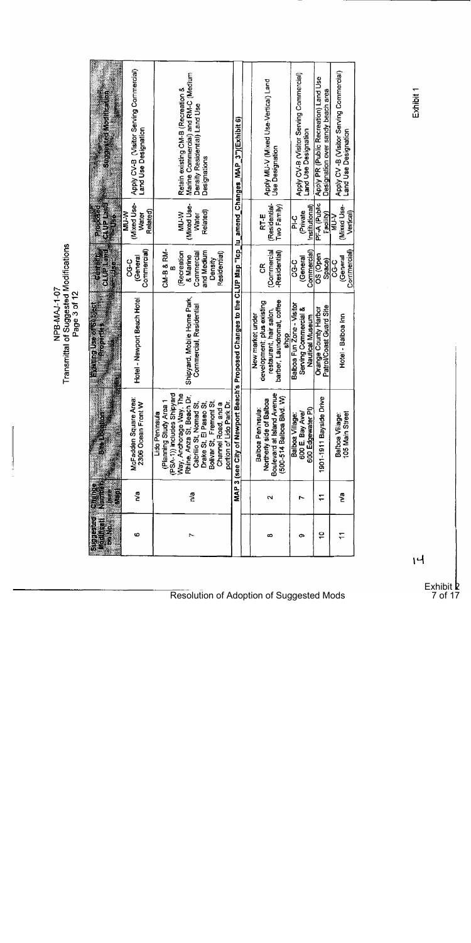| Studios (a doctrication                                                                                                                                                                                                                                 | Apply CV-B (Visitor Serving Commercial)<br>Land Use Designation | Marine Commercial) and RM-C (Medium<br>Retain existing CM-B (Recreation &<br>Density Residential) Land Use<br>Designations                                                                                                                                           |                                                                                                              | Apply MU-V (Mixed Use-Vertical) Land<br><b>Use Designation</b>                                                  | Apply CV-B (Visitor Serving Commercial)<br>Land Use Designation      | Apply PR (Public Recreation) Land Use<br>Designation over sandy beach area | Apply CV-B (Visitor Serving Commercial)<br>Land Use Designation |
|---------------------------------------------------------------------------------------------------------------------------------------------------------------------------------------------------------------------------------------------------------|-----------------------------------------------------------------|----------------------------------------------------------------------------------------------------------------------------------------------------------------------------------------------------------------------------------------------------------------------|--------------------------------------------------------------------------------------------------------------|-----------------------------------------------------------------------------------------------------------------|----------------------------------------------------------------------|----------------------------------------------------------------------------|-----------------------------------------------------------------|
| <b>GLUPIENIE</b><br><b>EXPLOSED</b><br>és<br>Désa                                                                                                                                                                                                       | (Mixed Use-<br>Related)<br>メージ<br>Water                         | Mixed Use-<br>Related)<br>メンマ<br>Water                                                                                                                                                                                                                               |                                                                                                              | (Residential-<br>Two Family)<br>RT-Ë                                                                            | Institutional)<br>(Private<br>ں<br>خ                                 | PF-A (Public<br>Facility)                                                  | Mixed Use-<br>Vertical<br><b>A-TA</b>                           |
| <b>CARDISAL</b><br><b>REAL PROPERTY</b><br><b>ELLER ALL ALL</b>                                                                                                                                                                                         | Commercial)<br>(General<br>ပ္ပ                                  | CM-B & RM-<br>and Medium<br>(Recreation<br>Residential)<br>Commercial<br>& Marine<br>Density                                                                                                                                                                         |                                                                                                              | (Commercial<br>-Residential)<br>g                                                                               | Commercial)<br>(General<br>ပ္ပက္                                     | OS (Open<br>Space)                                                         | Commercial)<br>(General<br>ပ္ပဂ္                                |
| o di controletti di città di controletti di controletti di controletti di controletti di controletti di controletti di controletti di controletti di controletti di controletti di controletti di controletti di controletti d<br><b>The Electric A</b> | Hotel - Newport Beach Hotel                                     | Shipyard, Mobile Home Park,<br>Commercial, Residential                                                                                                                                                                                                               | MAP 3 (see City of Newport Beach's Proposed Changes to the CLUP Map "Icp_Iu_amend_Changes_MAP_3")(Exhibit 6) | barber, Laundromat, coffee<br>development; plus existing<br>restaurant, hair salon,<br>New market under<br>shop | Balboa Fun Zone - Visitor<br>Serving Commercial &<br>Nautical Museum | Patrol/Coast Guard Site<br>Orange County Harbor                            | Hotel - Balboa Inn                                              |
|                                                                                                                                                                                                                                                         | McFadden Square Area:<br>2306 Ocean Front W                     | 끝<br>م<br>ج<br>δ<br>Bolivar St., Fremont St<br>Channel Road, and a<br>portion of Lido Park Dr<br>(PSA-1)) includes Shipy<br>Drake St, El Paseo St<br>Cabrillo St, Nomad St<br>Rhine, Anza St, Beach<br>Way, Anchorage Way,<br>(Planning Study Area<br>Lido Peninsula |                                                                                                              | 불<br>(500-514 Balboa Blvd. W)<br>Northerly side of Balboa<br>Boulevard at Island Aven<br>Balboa Peninsula:      | 600 Edgewater PI)<br>600 E. Bay Ave/<br>Balboa Village:              | 1901-1911 Bayside Drive                                                    | 105 Main Street<br>Balboa Village:                              |
| 岩英                                                                                                                                                                                                                                                      | 웉                                                               | n'a                                                                                                                                                                                                                                                                  |                                                                                                              | 2                                                                                                               |                                                                      | F                                                                          | e,<br>S                                                         |
| 6) Chinais Telephone of District Chinais Tele<br><b>Michael Read</b><br><b>Book</b>                                                                                                                                                                     | Õ                                                               | ~                                                                                                                                                                                                                                                                    |                                                                                                              | œ                                                                                                               | Φ                                                                    | ó                                                                          |                                                                 |

 $\mathbf{H}$ 

Exhibit **2** 

7 of 17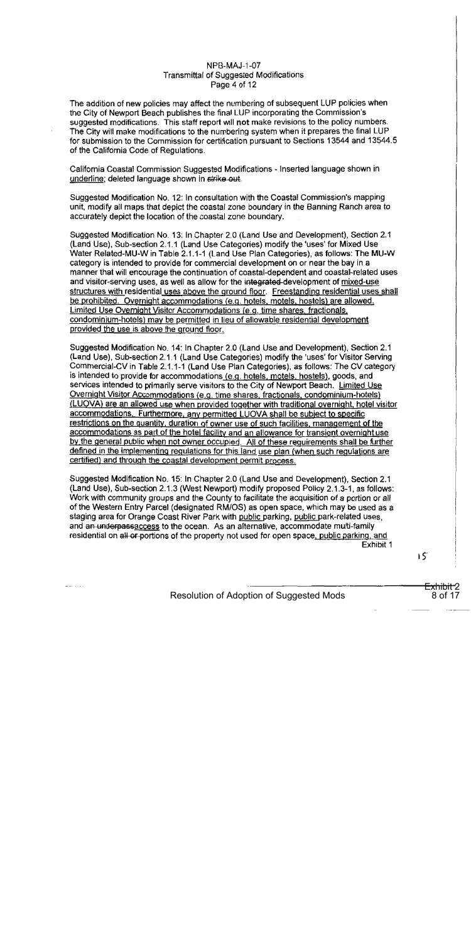#### NPB-MAJ-1-07 **Transmittal of Suggested Modifications** Page 4 of 12

The addition of new policies may affect the numbering of subsequent LUP policies when the City of Newport Beach publishes the final LUP incorporating the Commission's suggested modifications. This staff report will not make revisions to the policy numbers. The City will make modifications to the numbering system when it prepares the final LUP for submission to the Commission for certification pursuant to Sections 13544 and 13544.5 of the California Code of Requiations.

California Coastal Commission Suggested Modifications - Inserted language shown in underline; deleted language shown in strike out.

Suggested Modification No. 12: In consultation with the Coastal Commission's mapping unit, modify all maps that depict the coastal zone boundary in the Banning Ranch area to accurately depict the location of the coastal zone boundary.

Suggested Modification No. 13: In Chapter 2.0 (Land Use and Development), Section 2.1 (Land Use), Sub-section 2.1.1 (Land Use Categories) modify the 'uses' for Mixed Use Water Related-MU-W in Table 2.1.1-1 (Land Use Plan Categories), as follows: The MU-W category is intended to provide for commercial development on or near the bay in a manner that will encourage the continuation of coastal-dependent and coastal-related uses and visitor-serving uses, as well as allow for the integrated-development of mixed-use structures with residential uses above the ground floor. Freestanding residential uses shall be prohibited. Overnight accommodations (e.g. hotels, motels, hostels) are allowed. Limited Use Overnight Visitor Accommodations (e.g. time shares, fractionals, condominium-hotels) may be permitted in lieu of allowable residential development provided the use is above the ground floor.

Suggested Modification No. 14: In Chapter 2.0 (Land Use and Development), Section 2.1 (Land Use), Sub-section 2.1.1 (Land Use Categories) modify the 'uses' for Visitor Serving Commercial-CV in Table 2.1.1-1 (Land Use Plan Categories), as follows: The CV category is intended to provide for accommodations (e.g. hotels, motels, hostels), goods, and services intended to primarily serve visitors to the City of Newport Beach. Limited Use Overnight Visitor Accommodations (e.g. time shares, fractionals, condominium-hotels) (LUQVA) are an allowed use when provided together with traditional overnight, hotel visitor accommodations. Furthermore, any permitted LUOVA shall be subject to specific restrictions on the quantity, duration of owner use of such facilities, management of the accommodations as part of the hotel facility and an allowance for transient overnight use by the general public when not owner occupied. All of these requirements shall be further defined in the implementing regulations for this land use plan (when such regulations are certified) and through the coastal development permit process.

Suggested Modification No. 15: In Chapter 2.0 (Land Use and Development), Section 2.1 (Land Use), Sub-section 2.1.3 (West Newport) modify proposed Policy 2.1.3-1, as follows: Work with community groups and the County to facilitate the acquisition of a portion or all of the Western Entry Parcel (designated RM/OS) as open space, which may be used as a staging area for Orange Coast River Park with public parking, public park-related uses. and an underpassaccess to the ocean. As an alternative, accommodate multi-family residential on all or portions of the property not used for open space, public parking, and Exhibit 1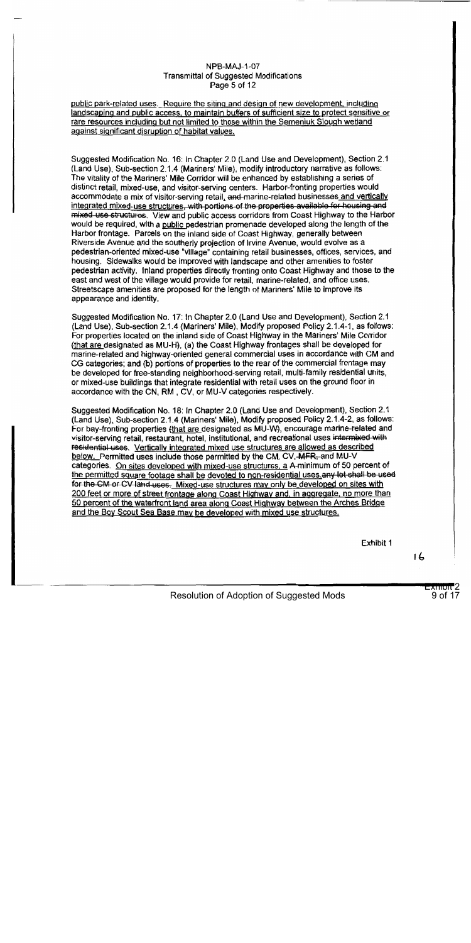#### **NPB-MAJ-1-07 Transmittal of Suggested Modifications** Page 5 of 12

#### public park-related uses. Require the siting and design of new development, including landscaping and public access, to maintain buffers of sufficient size to protect sensitive or rare resources including but not limited to those within the Semeniuk Slough wetland against significant disruption of habitat values.

Suggested Modification No. 16: In Chapter 2.0 (Land Use and Development), Section 2.1 (Land Use), Sub-section 2.1.4 (Mariners' Mile), modify introductory narrative as follows: The vitality of the Mariners' Mile Corridor will be enhanced by establishing a series of distinct retail, mixed-use, and visitor-serving centers. Harbor-fronting properties would accommodate a mix of visitor-serving retail, and-marine-related businesses and vertically integrated mixed-use structures, with portions of the properties available for housing and mixed use structures. View and public access corridors from Coast Highway to the Harbor would be required, with a public pedestrian promenade developed along the length of the Harbor frontage. Parcels on the inland side of Coast Highway, generally between Riverside Avenue and the southerly projection of Irvine Avenue, would evolve as a pedestrian-oriented mixed-use "village" containing retail businesses, offices, services, and housing. Sidewalks would be improved with landscape and other amenities to foster pedestrian activity. Inland properties directly fronting onto Coast Highway and those to the east and west of the village would provide for retail, marine-related, and office uses. Streetscape amenities are proposed for the length of Mariners' Mile to improve its appearance and identity.

Suggested Modification No. 17: In Chapter 2.0 (Land Use and Development), Section 2.1 (Land Use), Sub-section 2.1.4 (Mariners' Mile), Modify proposed Policy 2.1.4-1, as follows: For properties located on the inland side of Coast Highway in the Mariners' Mile Corridor (that are designated as MU-H), (a) the Coast Highway frontages shall be developed for marine-related and highway-oriented general commercial uses in accordance with CM and CG categories; and (b) portions of properties to the rear of the commercial frontage may be developed for free-standing neighborhood-serving retail, multi-family residential units, or mixed-use buildings that integrate residential with retail uses on the ground floor in accordance with the CN, RM, CV, or MU-V categories respectively.

Suggested Modification No. 18: In Chapter 2.0 (Land Use and Development), Section 2.1 (Land Use), Sub-section 2.1.4 (Mariners' Mile), Modify proposed Policy 2.1.4-2, as follows: For bay-fronting properties (that are designated as MU-W), encourage marine-related and visitor-serving retail, restaurant, hotel, institutional, and recreational uses intermixed with residential uses. Vertically integrated mixed use structures are allowed as described below. Permitted uses include those permitted by the CM, CV, MFR, and MU-V categories. On sites developed with mixed-use structures, a A-minimum of 50 percent of the permitted square footage shall be devoted to non-residential uses any lot shall be used for the CM or CV land uses. Mixed-use structures may only be developed on sites with 200 feet or more of street frontage along Coast Highway and, in aggregate, no more than 50 percent of the waterfront land area along Coast Highway between the Arches Bridge and the Boy Scout Sea Base may be developed with mixed use structures.

Exhibit 1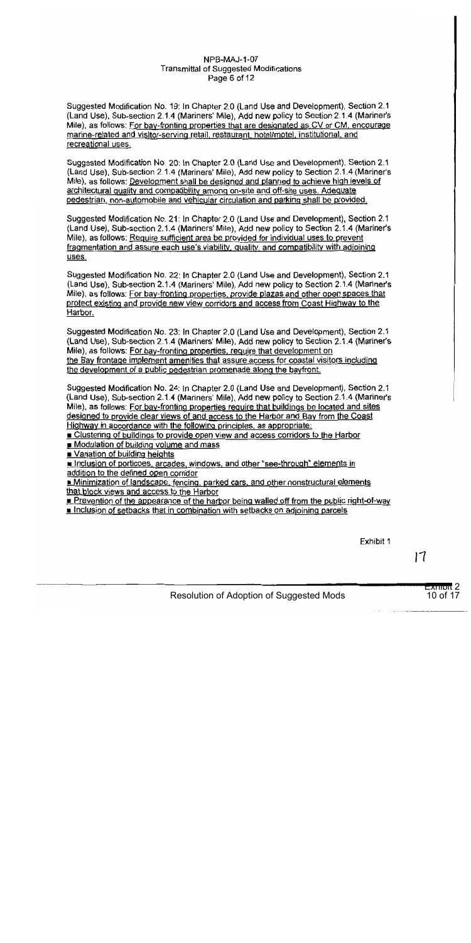#### **NPB-MAJ-1-07 Transmittal of Suggested Modifications** Page 6 of 12

Suggested Modification No. 19: In Chapter 2.0 (Land Use and Development), Section 2.1 (Land Use), Sub-section 2.1.4 (Mariners' Mile), Add new policy to Section 2.1.4 (Mariner's Mile), as follows: For bay-fronting properties that are designated as CV or CM, encourage marine-related and visitor-serving retail, restaurant, hotel/motel, institutional, and recreational uses.

Suggested Modification No. 20: In Chapter 2.0 (Land Use and Development), Section 2.1 (Land Use), Sub-section 2.1.4 (Mariners' Mile), Add new policy to Section 2.1.4 (Mariner's Mile), as follows: Development shall be designed and planned to achieve high levels of architectural quality and compatibility among on-site and off-site uses. Adequate pedestrian, non-automobile and vehicular circulation and parking shall be provided.

Suggested Modification No. 21: In Chapter 2.0 (Land Use and Development), Section 2.1 (Land Use), Sub-section 2.1.4 (Mariners' Mile), Add new policy to Section 2.1.4 (Mariner's Mile), as follows: Require sufficient area be provided for individual uses to prevent fragmentation and assure each use's viability, quality, and compatibility with adjoining uses.

Suggested Modification No. 22: In Chapter 2.0 (Land Use and Development), Section 2.1 (Land Use), Sub-section 2.1.4 (Mariners' Mile), Add new policy to Section 2.1.4 (Mariner's Mile), as follows: For bay-fronting properties, provide plazas and other open spaces that protect existing and provide new view corridors and access from Coast Highway to the Harbor.

Suggested Modification No. 23: In Chapter 2.0 (Land Use and Development), Section 2.1 (Land Use), Sub-section 2.1.4 (Mariners' Mile), Add new policy to Section 2.1.4 (Mariner's Mile), as follows: For bay-fronting properties, require that development on the Bay frontage implement amenities that assure access for coastal visitors including the development of a public pedestrian promenade along the bayfront.

Suggested Modification No. 24: In Chapter 2.0 (Land Use and Development). Section 2.1 (Land Use), Sub-section 2.1.4 (Mariners' Mile), Add new policy to Section 2.1.4 (Mariner's Mile), as follows: For bay-fronting properties require that buildings be located and sites designed to provide clear views of and access to the Harbor and Bay from the Coast Highway in accordance with the following principles, as appropriate:

Clustering of buildings to provide open view and access corridors to the Harbor

Modulation of building volume and mass

Variation of building heights

n Inclusion of porticoes, arcades, windows, and other "see-through" elements in addition to the defined open corridor

Minimization of landscape, fencing, parked cars, and other nonstructural elements that block views and access to the Harbor

Prevention of the appearance of the harbor being walled off from the public right-of-way Inclusion of setbacks that in combination with setbacks on adjoining parcels

Exhibit 1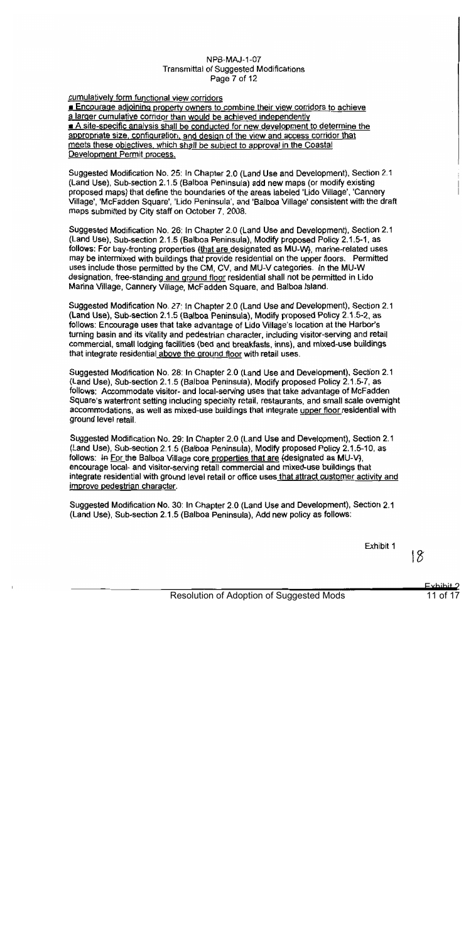#### **NPB-MAJ-1-07 Transmittal of Suggested Modifications** Page 7 of 12

#### cumulatively form functional view corridors

**Encourage adjoining property owners to combine their view corridors to achieve** a larger cumulative corridor than would be achieved independently A site-specific analysis shall be conducted for new development to determine the appropriate size, configuration, and design of the view and access corridor that meets these objectives, which shall be subject to approval in the Coastal Development Permit process.

Suggested Modification No. 25: In Chapter 2.0 (Land Use and Development), Section 2.1 (Land Use), Sub-section 2.1.5 (Balboa Peninsula) add new maps (or modify existing proposed maps) that define the boundaries of the areas labeled 'Lido Village', 'Cannery Village', 'McFadden Square', 'Lido Peninsula', and 'Balboa Village' consistent with the draft maps submitted by City staff on October 7, 2008.

Suggested Modification No. 26: In Chapter 2.0 (Land Use and Development), Section 2.1 (Land Use), Sub-section 2.1.5 (Balboa Peninsula), Modify proposed Policy 2.1.5-1, as follows: For bay-fronting properties (that are designated as MU-W), marine-related uses may be intermixed with buildings that provide residential on the upper floors. Permitted uses include those permitted by the CM, CV, and MU-V categories. In the MU-W designation, free-standing and ground floor residential shall not be permitted in Lido Marina Village, Cannery Village, McFadden Square, and Balboa Island.

Suggested Modification No. 27: In Chapter 2.0 (Land Use and Development), Section 2.1 (Land Use), Sub-section 2.1.5 (Balboa Peninsula), Modify proposed Policy 2.1.5-2, as follows: Encourage uses that take advantage of Lido Village's location at the Harbor's furning basin and its vitality and pedestrian character, including visitor-serving and retail commercial, small lodging facilities (bed and breakfasts, inns), and mixed-use buildings that integrate residential above the ground floor with retail uses.

Suggested Modification No. 28: In Chapter 2.0 (Land Use and Development), Section 2.1 (Land Use), Sub-section 2.1.5 (Balboa Peninsula), Modify proposed Policy 2.1.5-7, as follows: Accommodate visitor- and local-serving uses that take advantage of McFadden Square's waterfront setting including specialty retail, restaurants, and small scale overnight accommodations, as well as mixed-use buildings that integrate upper floor residential with ground level retail.

Suggested Modification No. 29: In Chapter 2.0 (Land Use and Development), Section 2.1 (Land Use), Sub-section 2.1.5 (Balboa Peninsula), Modify proposed Policy 2.1.5-10, as follows: In For the Balboa Village core properties that are (designated as MU-V), encourage local- and visitor-serving retail commercial and mixed-use buildings that integrate residential with ground level retail or office uses that attract customer activity and improve pedestrian character.

Suggested Modification No. 30: In Chapter 2.0 (Land Use and Development), Section 2.1 (Land Use), Sub-section 2.1.5 (Balboa Peninsula), Add new policy as follows:

Exhibit 1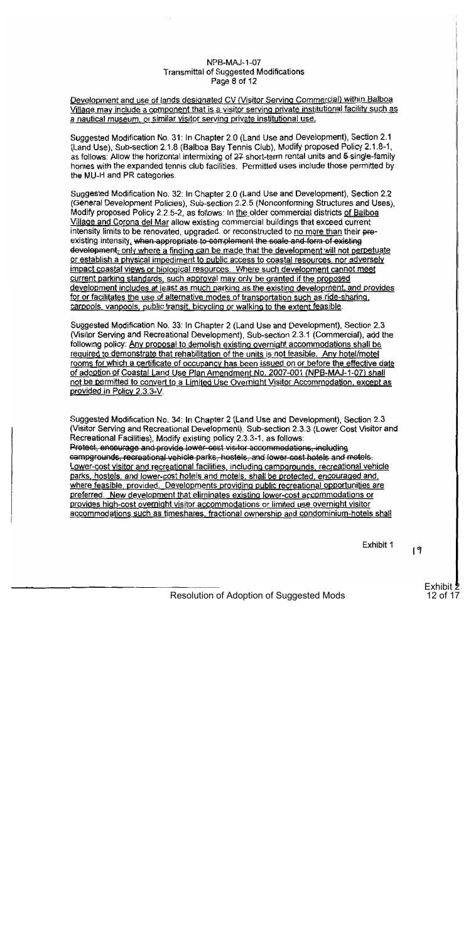#### NPB-MAJ-1-07 **Transmittal of Suggested Modifications** Page 8 of 12

Development and use of lands designated CV (Visitor Serving Commercial) within Balboa Village may include a component that is a visitor serving private institutional facility such as a nautical museum, or similar visitor serving private institutional use.

Suggested Modification No. 31: In Chapter 2.0 (Land Use and Development), Section 2.1 (Land Use), Sub-section 2.1.8 (Balboa Bay Tennis Club), Modify proposed Policy 2.1.8-1, as follows: Allow the horizontal intermixing of 27 short-term rental units and 5-single-family homes with the expanded tennis club facilities. Permitted uses include those permitted by the MU-H and PR categories.

Suggested Modification No. 32: In Chapter 2.0 (Land Use and Development), Section 2.2 (General Development Policies), Sub-section 2.2.5 (Nonconforming Structures and Uses), Modify proposed Policy 2.2.5-2, as follows: In the older commercial districts of Balboa Village and Corona del Mar allow existing commercial buildings that exceed current intensity limits to be renovated, upgraded, or reconstructed to no more than their preexisting intensity, when appropriate to complement the scale and form of existing development, only where a finding can be made that the development will not perpetuate or establish a physical impediment to public access to coastal resources, nor adversely impact coastal views or biological resources. Where such development cannot meet current parking standards, such approval may only be granted if the proposed development includes at least as much parking as the existing development, and provides for or facilitates the use of alternative modes of transportation such as ride-sharing. carpools, vanpools, public transit, bicycling or walking to the extent feasible.

Suggested Modification No. 33: In Chapter 2 (Land Use and Development), Section 2.3 (Visitor Serving and Recreational Development), Sub-section 2.3.1 (Commercial), add the following policy: Any proposal to demolish existing overnight accommodations shall be required to demonstrate that rehabilitation of the units is not feasible. Any hotel/motel rooms for which a certificate of occupancy has been issued on or before the effective date of adoption of Coastal Land Use Plan Amendment No. 2007-001 (NPB-MAJ-1-07) shall not be permitted to convert to a Limited Use Overnight Visitor Accommodation, except as provided in Policy 2.3.3-V.

Suggested Modification No. 34: In Chapter 2 (Land Use and Development), Section 2.3 (Visitor Serving and Recreational Development), Sub-section 2.3.3 (Lower Cost Visitor and Recreational Facilities), Modify existing policy 2.3.3-1, as follows: Protect, encourage and provide lower-cost visitor accommodations, including campgrounds, recreational vehicle parks, hostels, and lower cost hotels and motels. Lower-cost visitor and recreational facilities, including campgrounds, recreational vehicle parks, hostels, and lower-cost hotels and motels, shall be protected, encouraged and, where feasible, provided. Developments providing public recreational opportunities are preferred. New development that eliminates existing lower-cost accommodations or provides high-cost overnight visitor accommodations or limited use overnight visitor accommodations such as timeshares, fractional ownership and condominium-hotels shall

Exhibit 1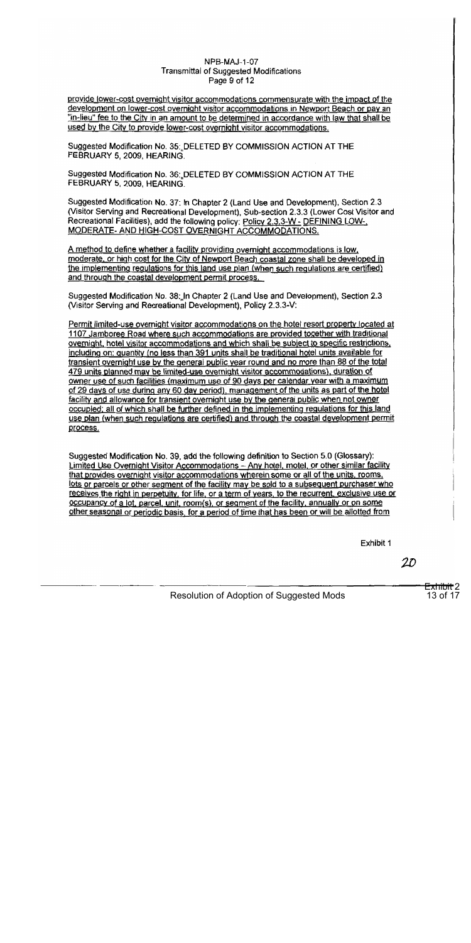#### NPB-MAJ-1-07 **Transmittal of Suggested Modifications** Page 9 of 12

provide lower-cost overnight visitor accommodations commensurate with the impact of the development on lower-cost overnight visitor accommodations in Newport Beach or pay an "in-lieu" fee to the City in an amount to be determined in accordance with law that shall be used by the City to provide lower-cost overnight visitor accommodations.

Suggested Modification No. 35: DELETED BY COMMISSION ACTION AT THE FEBRUARY 5, 2009, HEARING.

Suggested Modification No. 36: DELETED BY COMMISSION ACTION AT THE FEBRUARY 5, 2009, HEARING.

Suggested Modification No. 37: In Chapter 2 (Land Use and Development), Section 2.3 (Visitor Serving and Recreational Development), Sub-section 2.3.3 (Lower Cost Visitor and Recreational Facilities), add the following policy: Policy 2.3.3-W - DEFINING LOW-, MODERATE- AND HIGH-COST OVERNIGHT ACCOMMODATIONS.

A method to define whether a facility providing overnight accommodations is low. moderate, or high cost for the City of Newport Beach coastal zone shall be developed in the implementing requlations for this land use plan (when such requlations are certified) and through the coastal development permit process.

Suggested Modification No. 38: In Chapter 2 (Land Use and Development), Section 2.3 (Visitor Serving and Recreational Development), Policy 2.3.3-V:

Permit limited-use overnight visitor accommodations on the hotel resort property located at 1107 Jamboree Road where such accommodations are provided together with traditional overnight, hotel visitor accommodations and which shall be subject to specific restrictions. including on: quantity (no less than 391 units shall be traditional hotel units available for transient overnight use by the general public year round and no more than 88 of the total 479 units planned may be limited-use overnight visitor accommodations), duration of owner use of such facilities (maximum use of 90 days per calendar year with a maximum of 29 days of use during any 60 day period), management of the units as part of the hotel facility and allowance for transient overnight use by the general public when not owner occupied; all of which shall be further defined in the implementing regulations for this land use plan (when such regulations are certified) and through the coastal development permit process.

Suggested Modification No. 39, add the following definition to Section 5.0 (Glossary): Limited Use Overnight Visitor Accommodations - Any hotel, motel, or other similar facility that provides overnight visitor accommodations wherein some or all of the units, rooms, lots or parcels or other segment of the facility may be sold to a subsequent purchaser who receives the right in perpetuity, for life, or a term of years, to the recurrent, exclusive use or occupancy of a lot, parcel, unit, room(s), or segment of the facility, annually or on some other seasonal or periodic basis, for a period of time that has been or will be allotted from

Exhibit 1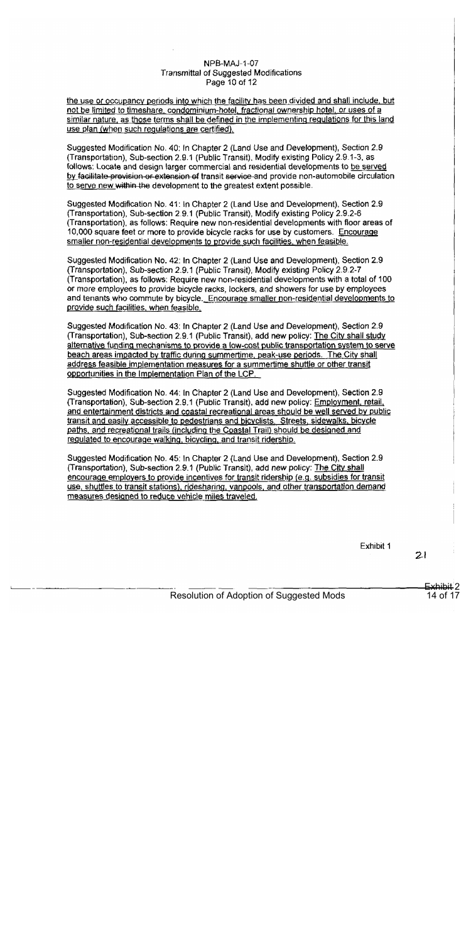#### NPB-MAJ-1-07 **Transmittal of Suggested Modifications** Page 10 of 12

the use or occupancy periods into which the facility has been divided and shall include, but not be limited to timeshare, condominium-hotel, fractional ownership hotel, or uses of a similar nature, as those terms shall be defined in the implementing regulations for this land use plan (when such regulations are certified).

Suggested Modification No. 40; In Chapter 2 (Land Use and Development), Section 2.9 (Transportation), Sub-section 2.9.1 (Public Transit), Modify existing Policy 2.9.1-3, as follows: Locate and design larger commercial and residential developments to be served by facilitate provision or extension of transit service-and provide non-automobile circulation to serve new within the development to the greatest extent possible.

Suggested Modification No. 41: In Chapter 2 (Land Use and Development), Section 2.9 (Transportation), Sub-section 2.9.1 (Public Transit), Modify existing Policy 2.9.2-6 (Transportation), as follows: Require new non-residential developments with floor areas of 10,000 square feet or more to provide bicycle racks for use by customers. Encourage smaller non-residential developments to provide such facilities, when feasible.

Suggested Modification No. 42: In Chapter 2 (Land Use and Development), Section 2.9 (Transportation), Sub-section 2.9.1 (Public Transit), Modify existing Policy 2.9.2-7 (Transportation), as follows: Require new non-residential developments with a total of 100 or more employees to provide bicycle racks, lockers, and showers for use by employees and tenants who commute by bicycle. Encourage smaller non-residential developments to provide such facilities, when feasible.

Suggested Modification No. 43: In Chapter 2 (Land Use and Development), Section 2.9 (Transportation), Sub-section 2.9.1 (Public Transit), add new policy: The City shall study alternative funding mechanisms to provide a low-cost public transportation system to serve beach areas impacted by traffic during summertime, peak-use periods. The City shall address feasible implementation measures for a summertime shuttle or other transit opportunities in the Implementation Plan of the LCP.

Suggested Modification No. 44: In Chapter 2 (Land Use and Development), Section 2.9 (Transportation), Sub-section 2.9.1 (Public Transit), add new policy: Employment, retail, and entertainment districts and coastal recreational areas should be well served by public transit and easily accessible to pedestrians and bicyclists. Streets, sidewalks, bicycle paths, and recreational trails (including the Coastal Trail) should be designed and regulated to encourage walking, bicycling, and transit ridership.

Suggested Modification No. 45: In Chapter 2 (Land Use and Development), Section 2.9 (Transportation), Sub-section 2.9.1 (Public Transit), add new policy: The City shall encourage employers to provide incentives for transit ridership (e.g. subsidies for transit use, shuttles to transit stations), ridesharing, vanpools, and other transportation demand measures designed to reduce vehicle miles traveled.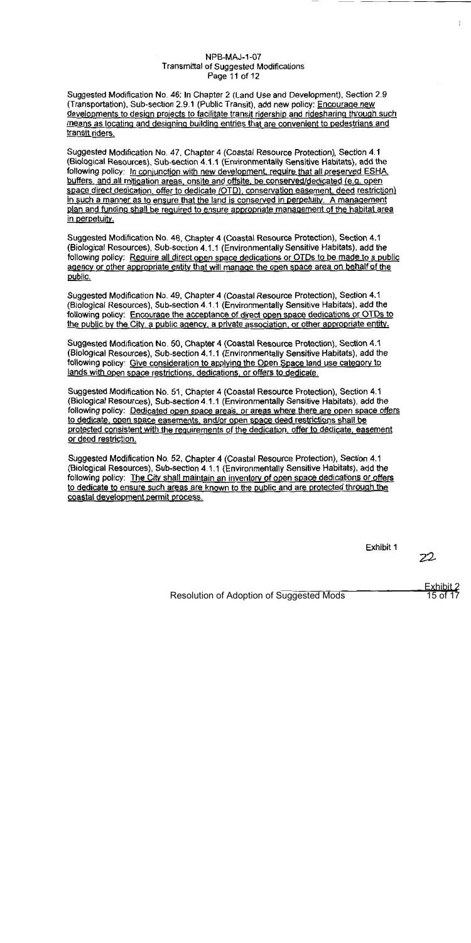#### **NPB-MAJ-1-07 Transmittal of Suggested Modifications** Page 11 of 12

Suggested Modification No. 46: In Chapter 2 (Land Use and Development), Section 2.9 (Transportation), Sub-section 2.9.1 (Public Transit), add new policy: Encourage new developments to design projects to facilitate transit ridership and ridesharing through such means as locating and designing building entries that are convenient to pedestrians and transit riders.

Suggested Modification No. 47, Chapter 4 (Coastal Resource Protection), Section 4.1 (Biological Resources), Sub-section 4.1.1 (Environmentally Sensitive Habitats), add the following policy: In conjunction with new development, require that all preserved ESHA. buffers, and all mitigation areas, onsite and offsite, be conserved/dedicated (e.g. open space direct dedication, offer to dedicate (OTD), conservation easement, deed restriction) in such a manner as to ensure that the land is conserved in perpetuity. A management plan and funding shall be required to ensure appropriate management of the habitat area in perpetuity.

Suggested Modification No. 48, Chapter 4 (Coastal Resource Protection), Section 4.1 (Biological Resources), Sub-section 4.1.1 (Environmentally Sensitive Habitats), add the following policy: Require all direct open space dedications or OTDs to be made to a public agency or other appropriate entity that will manage the open space area on behalf of the public.

Suggested Modification No. 49, Chapter 4 (Coastal Resource Protection), Section 4.1 (Biological Resources), Sub-section 4.1.1 (Environmentally Sensitive Habitats), add the following policy: Encourage the acceptance of direct open space dedications or OTDs to the public by the City, a public agency, a private association, or other appropriate entity.

Suggested Modification No. 50, Chapter 4 (Coastal Resource Protection), Section 4.1 (Biological Resources), Sub-section 4.1.1 (Environmentally Sensitive Habitats), add the following policy: Give consideration to applying the Open Space land use category to lands with open space restrictions, dedications, or offers to dedicate.

Suggested Modification No. 51, Chapter 4 (Coastal Resource Protection), Section 4.1 (Biological Resources), Sub-section 4.1.1 (Environmentally Sensitive Habitats), add the following policy: Dedicated open space areas, or areas where there are open space offers to dedicate, open space easements, and/or open space deed restrictions shall be protected consistent with the requirements of the dedication, offer to dedicate, easement or deed restriction.

Suggested Modification No. 52, Chapter 4 (Coastal Resource Protection), Section 4.1 (Biological Resources), Sub-section 4.1.1 (Environmentally Sensitive Habitats), add the following policy: The City shall maintain an inventory of open space dedications or offers to dedicate to ensure such areas are known to the public and are protected through the coastal development permit process.

Exhibit 1

22

 $\mathbf{r}$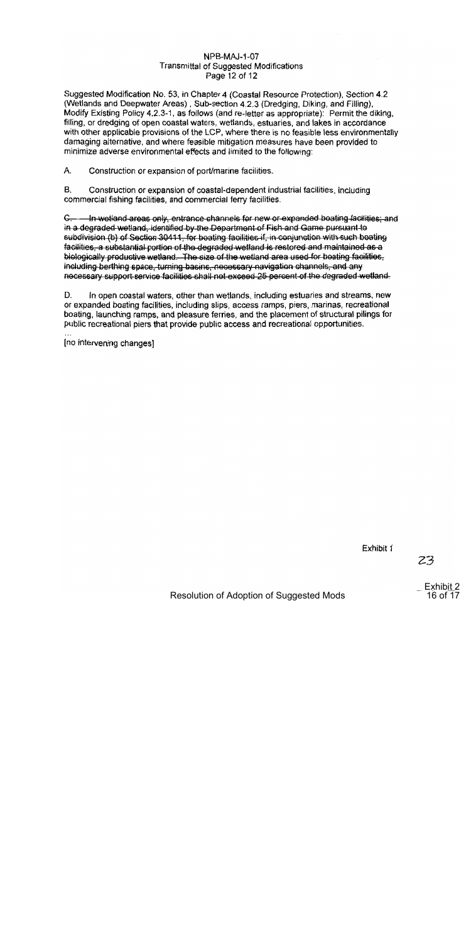#### NPB-MAJ-1-07 **Transmittal of Suggested Modifications** Page 12 of 12

Suggested Modification No. 53, in Chapter 4 (Coastal Resource Protection), Section 4.2 (Wetlands and Deepwater Areas), Sub-section 4.2.3 (Dredging, Diking, and Filling), Modify Existing Policy 4.2.3-1, as follows (and re-letter as appropriate): Permit the diking, filling, or dredging of open coastal waters, wetlands, estuaries, and lakes in accordance with other applicable provisions of the LCP, where there is no feasible less environmentally damaging alternative, and where feasible mitigation measures have been provided to minimize adverse environmental effects and limited to the following:

A. Construction or expansion of port/marine facilities.

В. Construction or expansion of coastal-dependent industrial facilities, including commercial fishing facilities, and commercial ferry facilities.

C. - In wettand areas only, entrance channels for new or expanded boating facilities; and in a degraded wetland, identified by the Department of Fish and Game pursuant to subdivision (b) of Section 30411, for boating facilities if, in conjunction with such boating facilities, a substantial portion of the degraded wetland is restored and maintained as a biologically productive wetland. The size of the wetland area used for boating facilities. including berthing space, turning basins, necessary navigation channels, and any necessary support service facilities shall not exceed 25 percent of the degraded wetland.

D. In open coastal waters, other than wetlands, including estuaries and streams, new or expanded boating facilities, including slips, access ramps, piers, marinas, recreational boating, launching ramps, and pleasure ferries, and the placement of structural pilings for public recreational piers that provide public access and recreational opportunities.

[no intervening changes]